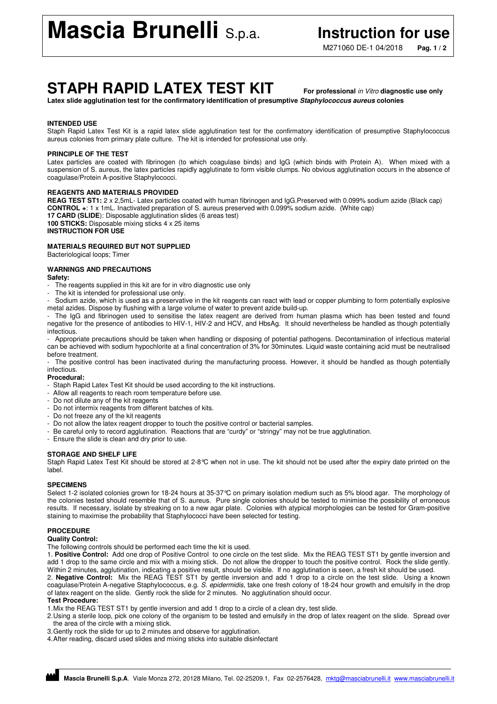M271060 DE-1 04/2018 **Pag. 1 / 2**

## **STAPH RAPID LATEX TEST KIT For professional** in Vitro **diagnostic use only**

**Latex slide agglutination test for the confirmatory identification of presumptive Staphylococcus aureus colonies** 

### **INTENDED USE**

Staph Rapid Latex Test Kit is a rapid latex slide agglutination test for the confirmatory identification of presumptive Staphylococcus aureus colonies from primary plate culture. The kit is intended for professional use only.

#### **PRINCIPLE OF THE TEST**

Latex particles are coated with fibrinogen (to which coagulase binds) and IgG (which binds with Protein A). When mixed with a suspension of S. aureus, the latex particles rapidly agglutinate to form visible clumps. No obvious agglutination occurs in the absence of coagulase/Protein A-positive Staphylococci.

#### **REAGENTS AND MATERIALS PROVIDED**

**REAG TEST ST1:** 2 x 2,5mL- Latex particles coated with human fibrinogen and IgG.Preserved with 0.099% sodium azide (Black cap) **CONTROL +**: 1 x 1mL. Inactivated preparation of S. aureus preserved with 0.099% sodium azide. (White cap) **17 CARD (SLIDE**): Disposable agglutination slides (6 areas test) **100 STICKS:** Disposable mixing sticks 4 x 25 items **INSTRUCTION FOR USE**

### **MATERIALS REQUIRED BUT NOT SUPPLIED**

Bacteriological loops; Timer

#### **WARNINGS AND PRECAUTIONS**

#### **Safety:**

- The reagents supplied in this kit are for in vitro diagnostic use only
- The kit is intended for professional use only.
- Sodium azide, which is used as a preservative in the kit reagents can react with lead or copper plumbing to form potentially explosive metal azides. Dispose by flushing with a large volume of water to prevent azide build-up.

The IgG and fibrinogen used to sensitise the latex reagent are derived from human plasma which has been tested and found negative for the presence of antibodies to HIV-1, HIV-2 and HCV, and HbsAg. It should nevertheless be handled as though potentially infectious.

- Appropriate precautions should be taken when handling or disposing of potential pathogens. Decontamination of infectious material can be achieved with sodium hypochlorite at a final concentration of 3% for 30minutes. Liquid waste containing acid must be neutralised before treatment.

The positive control has been inactivated during the manufacturing process. However, it should be handled as though potentially infectious.

#### **Procedural:**

- Staph Rapid Latex Test Kit should be used according to the kit instructions.
- Allow all reagents to reach room temperature before use.
- Do not dilute any of the kit reagents
- Do not intermix reagents from different batches of kits.
- Do not freeze any of the kit reagents
- Do not allow the latex reagent dropper to touch the positive control or bacterial samples.
- Be careful only to record agglutination. Reactions that are "curdy" or "stringy" may not be true agglutination.
- Ensure the slide is clean and dry prior to use.

#### **STORAGE AND SHELF LIFE**

Staph Rapid Latex Test Kit should be stored at 2-8°C when not in use. The kit should not be used after the expiry date printed on the label.

#### **SPECIMENS**

Select 1-2 isolated colonies grown for 18-24 hours at 35-37°C on primary isolation medium such as 5% blood agar. The morphology of the colonies tested should resemble that of S. aureus. Pure single colonies should be tested to minimise the possibility of erroneous results. If necessary, isolate by streaking on to a new agar plate. Colonies with atypical morphologies can be tested for Gram-positive staining to maximise the probability that Staphylococci have been selected for testing.

#### **PROCEDURE**

#### **Quality Control:**

The following controls should be performed each time the kit is used.

1. **Positive Control:** Add one drop of Positive Control to one circle on the test slide. Mix the REAG TEST ST1 by gentle inversion and add 1 drop to the same circle and mix with a mixing stick. Do not allow the dropper to touch the positive control. Rock the slide gently. Within 2 minutes, agglutination, indicating a positive result, should be visible. If no agglutination is seen, a fresh kit should be used.

2. **Negative Control:** Mix the REAG TEST ST1 by gentle inversion and add 1 drop to a circle on the test slide. Using a known coagulase/Protein A-negative Staphylococcus, e.g. S. epidermidis, take one fresh colony of 18-24 hour growth and emulsify in the drop of latex reagent on the slide. Gently rock the slide for 2 minutes. No agglutination should occur.

#### **Test Procedure:**

1. Mix the REAG TEST ST1 by gentle inversion and add 1 drop to a circle of a clean dry, test slide.

2. Using a sterile loop, pick one colony of the organism to be tested and emulsify in the drop of latex reagent on the slide. Spread over the area of the circle with a mixing stick.

3. Gently rock the slide for up to 2 minutes and observe for agglutination.

4. After reading, discard used slides and mixing sticks into suitable disinfectant